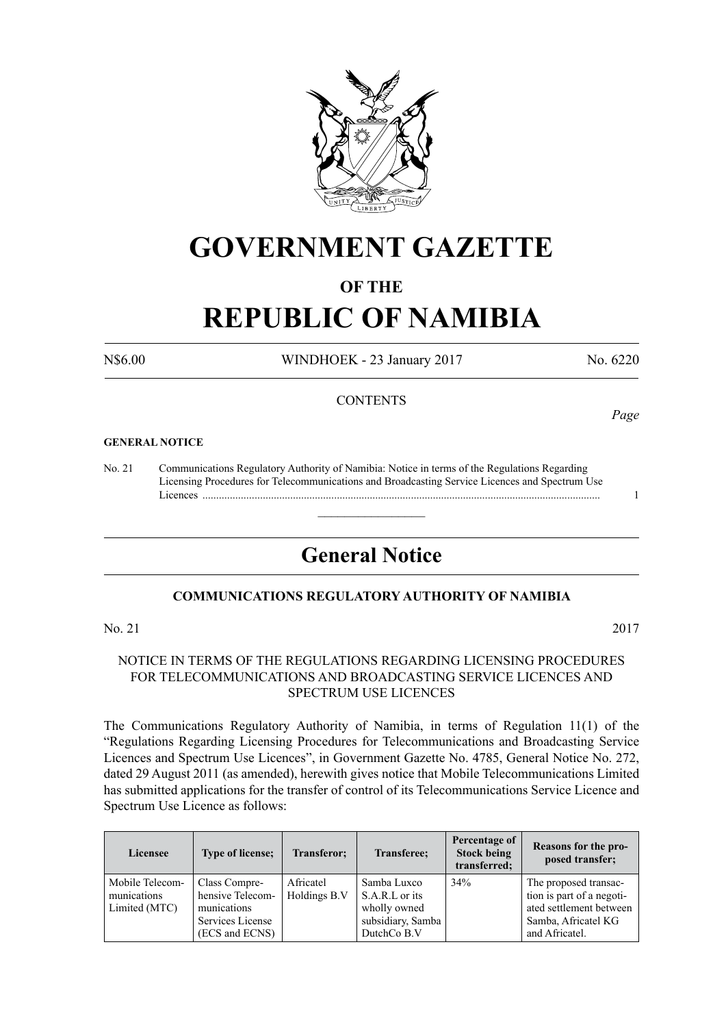

# **GOVERNMENT GAZETTE**

# **OF THE**

# **REPUBLIC OF NAMIBIA**

N\$6.00 WINDHOEK - 23 January 2017 No. 6220

## **CONTENTS**

#### **GENERAL NOTICE**

No. 21 Communications Regulatory Authority of Namibia: Notice in terms of the Regulations Regarding Licensing Procedures for Telecommunications and Broadcasting Service Licences and Spectrum Use Licences ................................................................................................................................................. 1

# **General Notice**

 $\overline{\phantom{a}}$  , where  $\overline{\phantom{a}}$ 

# **COMMUNICATIONS REGULATORY AUTHORITY OF NAMIBIA**

No. 21 2017

### NOTICE IN TERMS OF THE REGULATIONS REGARDING LICENSING PROCEDURES FOR TELECOMMUNICATIONS AND BROADCASTING SERVICE LICENCES AND SPECTRUM USE LICENCES

The Communications Regulatory Authority of Namibia, in terms of Regulation 11(1) of the "Regulations Regarding Licensing Procedures for Telecommunications and Broadcasting Service Licences and Spectrum Use Licences", in Government Gazette No. 4785, General Notice No. 272, dated 29 August 2011 (as amended), herewith gives notice that Mobile Telecommunications Limited has submitted applications for the transfer of control of its Telecommunications Service Licence and Spectrum Use Licence as follows:

| Licensee                                        | <b>Type of license;</b>                                                                | Transferor;               | Transferee;                                                                       | Percentage of<br><b>Stock being</b><br>transferred; | Reasons for the pro-<br>posed transfer;                                                                                |
|-------------------------------------------------|----------------------------------------------------------------------------------------|---------------------------|-----------------------------------------------------------------------------------|-----------------------------------------------------|------------------------------------------------------------------------------------------------------------------------|
| Mobile Telecom-<br>munications<br>Limited (MTC) | Class Compre-<br>hensive Telecom-<br>munications<br>Services License<br>(ECS and ECNS) | Africatel<br>Holdings B.V | Samba Luxco<br>S.A.R.L or its<br>wholly owned<br>subsidiary, Samba<br>DutchCo B.V | 34%                                                 | The proposed transac-<br>tion is part of a negoti-<br>ated settlement between<br>Samba, Africatel KG<br>and Africatel. |

*Page*